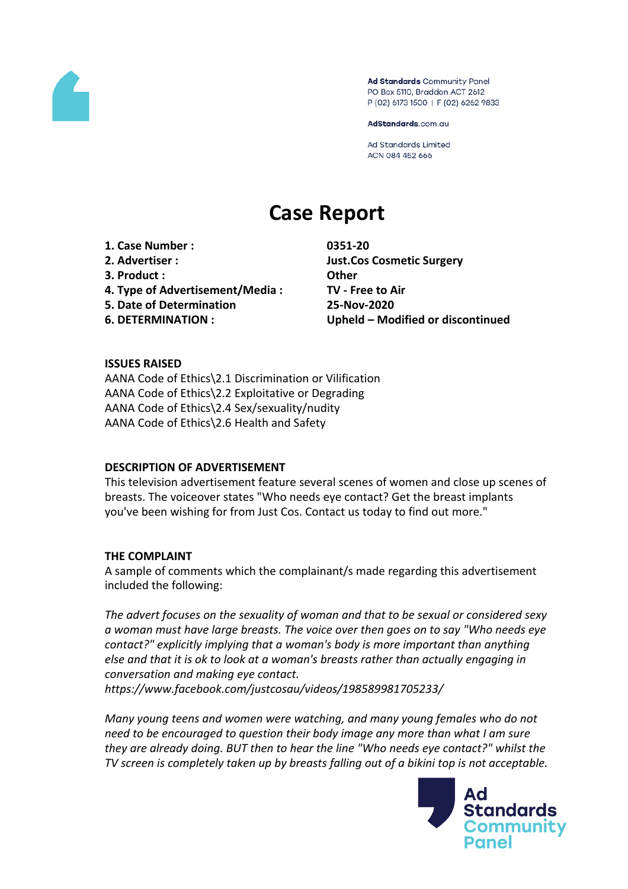

Ad Standards Community Panel PO Box 5110, Braddon ACT 2612 P (02) 6173 1500 | F (02) 6262 9833

AdStandards.com.au

**Ad Standards Limited** ACN 084 452 666

# **Case Report**

**1. Case Number : 0351-20 2. Advertiser : Just.Cos Cosmetic Surgery 3. Product : Other 4. Type of Advertisement/Media : TV - Free to Air 5. Date of Determination 25-Nov-2020**

**6. DETERMINATION : Upheld – Modified or discontinued**

# **ISSUES RAISED**

AANA Code of Ethics\2.1 Discrimination or Vilification AANA Code of Ethics\2.2 Exploitative or Degrading AANA Code of Ethics\2.4 Sex/sexuality/nudity AANA Code of Ethics\2.6 Health and Safety

#### **DESCRIPTION OF ADVERTISEMENT**

This television advertisement feature several scenes of women and close up scenes of breasts. The voiceover states "Who needs eye contact? Get the breast implants you've been wishing for from Just Cos. Contact us today to find out more."

#### **THE COMPLAINT**

A sample of comments which the complainant/s made regarding this advertisement included the following:

*The advert focuses on the sexuality of woman and that to be sexual or considered sexy a woman must have large breasts. The voice over then goes on to say "Who needs eye contact?" explicitly implying that a woman's body is more important than anything else and that it is ok to look at a woman's breasts rather than actually engaging in conversation and making eye contact.*

*https://www.facebook.com/justcosau/videos/198589981705233/*

*Many young teens and women were watching, and many young females who do not need to be encouraged to question their body image any more than what I am sure they are already doing. BUT then to hear the line "Who needs eye contact?" whilst the TV screen is completely taken up by breasts falling out of a bikini top is not acceptable.*

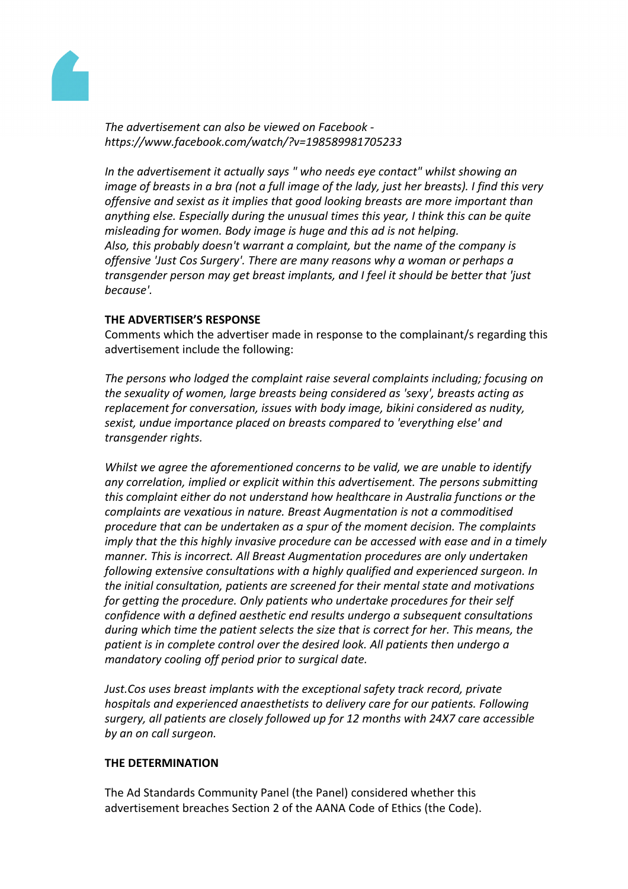

*The advertisement can also be viewed on Facebook https://www.facebook.com/watch/?v=198589981705233*

*In the advertisement it actually says " who needs eye contact" whilst showing an* image of breasts in a bra (not a full image of the lady, just her breasts). I find this very *offensive and sexist as it implies that good looking breasts are more important than anything else. Especially during the unusual times this year, I think this can be quite misleading for women. Body image is huge and this ad is not helping. Also, this probably doesn't warrant a complaint, but the name of the company is offensive 'Just Cos Surgery'. There are many reasons why a woman or perhaps a transgender person may get breast implants, and I feel it should be better that 'just because'.*

# **THE ADVERTISER'S RESPONSE**

Comments which the advertiser made in response to the complainant/s regarding this advertisement include the following:

*The persons who lodged the complaint raise several complaints including; focusing on the sexuality of women, large breasts being considered as 'sexy', breasts acting as replacement for conversation, issues with body image, bikini considered as nudity, sexist, undue importance placed on breasts compared to 'everything else' and transgender rights.*

*Whilst we agree the aforementioned concerns to be valid, we are unable to identify any correlation, implied or explicit within this advertisement. The persons submitting this complaint either do not understand how healthcare in Australia functions or the complaints are vexatious in nature. Breast Augmentation is not a commoditised procedure that can be undertaken as a spur of the moment decision. The complaints imply that the this highly invasive procedure can be accessed with ease and in a timely manner. This is incorrect. All Breast Augmentation procedures are only undertaken following extensive consultations with a highly qualified and experienced surgeon. In the initial consultation, patients are screened for their mental state and motivations for getting the procedure. Only patients who undertake procedures for their self confidence with a defined aesthetic end results undergo a subsequent consultations during which time the patient selects the size that is correct for her. This means, the patient is in complete control over the desired look. All patients then undergo a mandatory cooling off period prior to surgical date.*

*Just.Cos uses breast implants with the exceptional safety track record, private hospitals and experienced anaesthetists to delivery care for our patients. Following surgery, all patients are closely followed up for 12 months with 24X7 care accessible by an on call surgeon.*

### **THE DETERMINATION**

The Ad Standards Community Panel (the Panel) considered whether this advertisement breaches Section 2 of the AANA Code of Ethics (the Code).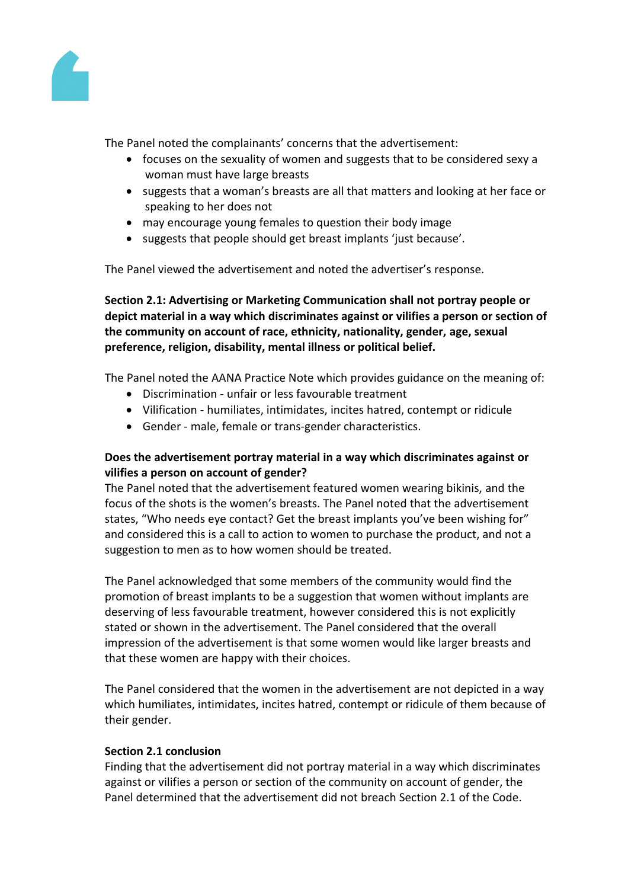

The Panel noted the complainants' concerns that the advertisement:

- focuses on the sexuality of women and suggests that to be considered sexy a woman must have large breasts
- suggests that a woman's breasts are all that matters and looking at her face or speaking to her does not
- may encourage young females to question their body image
- suggests that people should get breast implants 'just because'.

The Panel viewed the advertisement and noted the advertiser's response.

**Section 2.1: Advertising or Marketing Communication shall not portray people or depict material in a way which discriminates against or vilifies a person or section of the community on account of race, ethnicity, nationality, gender, age, sexual preference, religion, disability, mental illness or political belief.**

The Panel noted the AANA Practice Note which provides guidance on the meaning of:

- Discrimination unfair or less favourable treatment
- Vilification humiliates, intimidates, incites hatred, contempt or ridicule
- Gender male, female or trans-gender characteristics.

# **Does the advertisement portray material in a way which discriminates against or vilifies a person on account of gender?**

The Panel noted that the advertisement featured women wearing bikinis, and the focus of the shots is the women's breasts. The Panel noted that the advertisement states, "Who needs eye contact? Get the breast implants you've been wishing for" and considered this is a call to action to women to purchase the product, and not a suggestion to men as to how women should be treated.

The Panel acknowledged that some members of the community would find the promotion of breast implants to be a suggestion that women without implants are deserving of less favourable treatment, however considered this is not explicitly stated or shown in the advertisement. The Panel considered that the overall impression of the advertisement is that some women would like larger breasts and that these women are happy with their choices.

The Panel considered that the women in the advertisement are not depicted in a way which humiliates, intimidates, incites hatred, contempt or ridicule of them because of their gender.

# **Section 2.1 conclusion**

Finding that the advertisement did not portray material in a way which discriminates against or vilifies a person or section of the community on account of gender, the Panel determined that the advertisement did not breach Section 2.1 of the Code.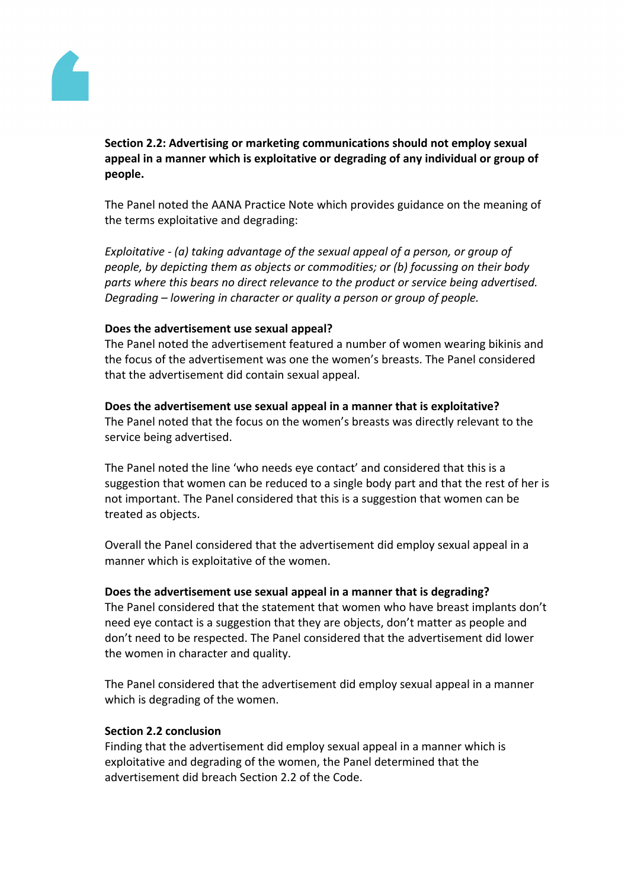

# **Section 2.2: Advertising or marketing communications should not employ sexual appeal in a manner which is exploitative or degrading of any individual or group of people.**

The Panel noted the AANA Practice Note which provides guidance on the meaning of the terms exploitative and degrading:

*Exploitative - (a) taking advantage of the sexual appeal of a person, or group of people, by depicting them as objects or commodities; or (b) focussing on their body parts where this bears no direct relevance to the product or service being advertised. Degrading – lowering in character or quality a person or group of people.*

# **Does the advertisement use sexual appeal?**

The Panel noted the advertisement featured a number of women wearing bikinis and the focus of the advertisement was one the women's breasts. The Panel considered that the advertisement did contain sexual appeal.

## **Does the advertisement use sexual appeal in a manner that is exploitative?**

The Panel noted that the focus on the women's breasts was directly relevant to the service being advertised.

The Panel noted the line 'who needs eye contact' and considered that this is a suggestion that women can be reduced to a single body part and that the rest of her is not important. The Panel considered that this is a suggestion that women can be treated as objects.

Overall the Panel considered that the advertisement did employ sexual appeal in a manner which is exploitative of the women.

# **Does the advertisement use sexual appeal in a manner that is degrading?**

The Panel considered that the statement that women who have breast implants don't need eye contact is a suggestion that they are objects, don't matter as people and don't need to be respected. The Panel considered that the advertisement did lower the women in character and quality.

The Panel considered that the advertisement did employ sexual appeal in a manner which is degrading of the women.

# **Section 2.2 conclusion**

Finding that the advertisement did employ sexual appeal in a manner which is exploitative and degrading of the women, the Panel determined that the advertisement did breach Section 2.2 of the Code.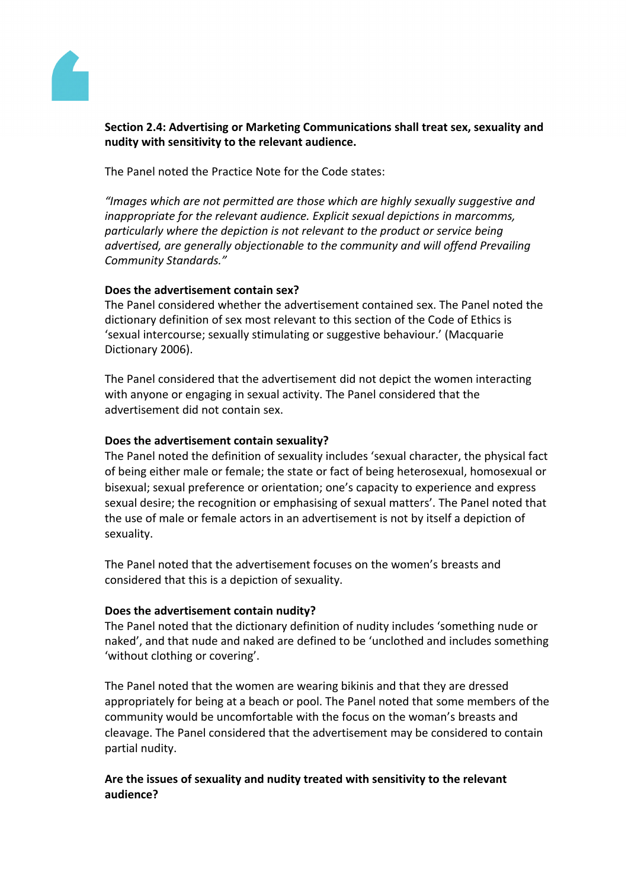

# **Section 2.4: Advertising or Marketing Communications shall treat sex, sexuality and nudity with sensitivity to the relevant audience.**

The Panel noted the Practice Note for the Code states:

*"Images which are not permitted are those which are highly sexually suggestive and inappropriate for the relevant audience. Explicit sexual depictions in marcomms, particularly where the depiction is not relevant to the product or service being advertised, are generally objectionable to the community and will offend Prevailing Community Standards."*

# **Does the advertisement contain sex?**

The Panel considered whether the advertisement contained sex. The Panel noted the dictionary definition of sex most relevant to this section of the Code of Ethics is 'sexual intercourse; sexually stimulating or suggestive behaviour.' (Macquarie Dictionary 2006).

The Panel considered that the advertisement did not depict the women interacting with anyone or engaging in sexual activity. The Panel considered that the advertisement did not contain sex.

# **Does the advertisement contain sexuality?**

The Panel noted the definition of sexuality includes 'sexual character, the physical fact of being either male or female; the state or fact of being heterosexual, homosexual or bisexual; sexual preference or orientation; one's capacity to experience and express sexual desire; the recognition or emphasising of sexual matters'. The Panel noted that the use of male or female actors in an advertisement is not by itself a depiction of sexuality.

The Panel noted that the advertisement focuses on the women's breasts and considered that this is a depiction of sexuality.

# **Does the advertisement contain nudity?**

The Panel noted that the dictionary definition of nudity includes 'something nude or naked', and that nude and naked are defined to be 'unclothed and includes something 'without clothing or covering'.

The Panel noted that the women are wearing bikinis and that they are dressed appropriately for being at a beach or pool. The Panel noted that some members of the community would be uncomfortable with the focus on the woman's breasts and cleavage. The Panel considered that the advertisement may be considered to contain partial nudity.

# **Are the issues of sexuality and nudity treated with sensitivity to the relevant audience?**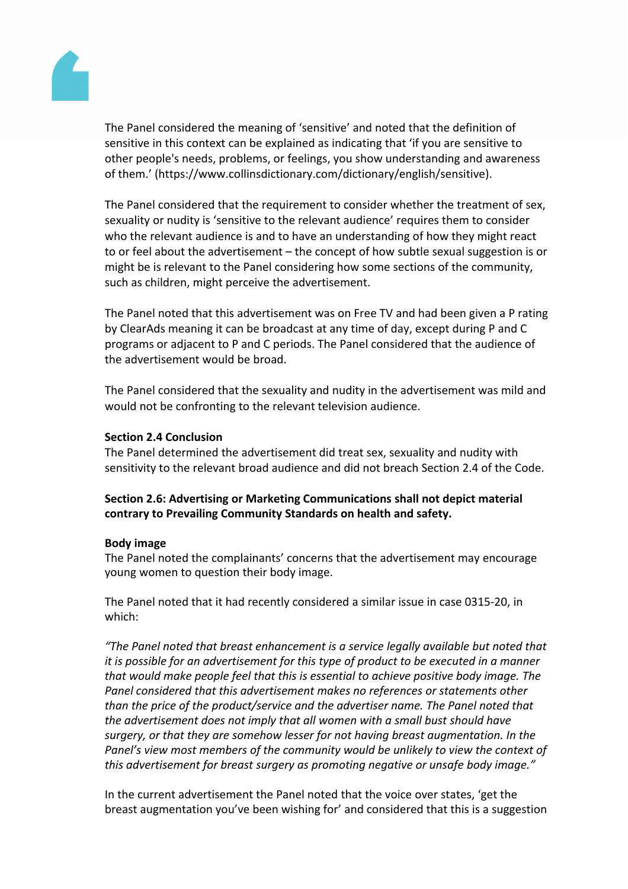

The Panel considered the meaning of 'sensitive' and noted that the definition of sensitive in this context can be explained as indicating that 'if you are sensitive to other people's needs, problems, or feelings, you show understanding and awareness of them.' (https://www.collinsdictionary.com/dictionary/english/sensitive).

The Panel considered that the requirement to consider whether the treatment of sex, sexuality or nudity is 'sensitive to the relevant audience' requires them to consider who the relevant audience is and to have an understanding of how they might react to or feel about the advertisement – the concept of how subtle sexual suggestion is or might be is relevant to the Panel considering how some sections of the community, such as children, might perceive the advertisement.

The Panel noted that this advertisement was on Free TV and had been given a P rating by ClearAds meaning it can be broadcast at any time of day, except during P and C programs or adjacent to P and C periods. The Panel considered that the audience of the advertisement would be broad.

The Panel considered that the sexuality and nudity in the advertisement was mild and would not be confronting to the relevant television audience.

# **Section 2.4 Conclusion**

The Panel determined the advertisement did treat sex, sexuality and nudity with sensitivity to the relevant broad audience and did not breach Section 2.4 of the Code.

**Section 2.6: Advertising or Marketing Communications shall not depict material contrary to Prevailing Community Standards on health and safety.**

#### **Body image**

The Panel noted the complainants' concerns that the advertisement may encourage young women to question their body image.

The Panel noted that it had recently considered a similar issue in case 0315-20, in which:

*"The Panel noted that breast enhancement is a service legally available but noted that it is possible for an advertisement for this type of product to be executed in a manner that would make people feel that this is essential to achieve positive body image. The Panel considered that this advertisement makes no references or statements other than the price of the product/service and the advertiser name. The Panel noted that the advertisement does not imply that all women with a small bust should have surgery, or that they are somehow lesser for not having breast augmentation. In the Panel's view most members of the community would be unlikely to view the context of this advertisement for breast surgery as promoting negative or unsafe body image."*

In the current advertisement the Panel noted that the voice over states, 'get the breast augmentation you've been wishing for' and considered that this is a suggestion